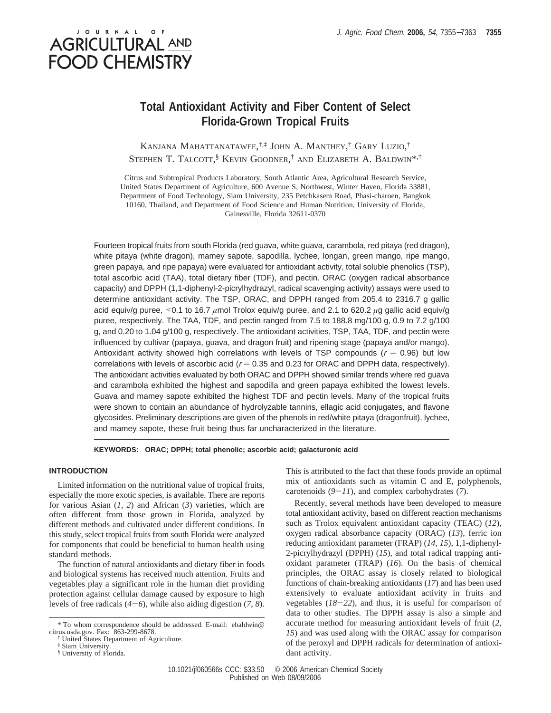# J O U R N A L **AGRICULTURAL AND FOOD CHEMISTRY**

## **Total Antioxidant Activity and Fiber Content of Select Florida-Grown Tropical Fruits**

KANJANA MAHATTANATAWEE,<sup>†,‡</sup> JOHN A. MANTHEY,<sup>†</sup> GARY LUZIO,<sup>†</sup> STEPHEN T. TALCOTT, § KEVIN GOODNER, † AND ELIZABETH A. BALDWIN\*,†

Citrus and Subtropical Products Laboratory, South Atlantic Area, Agricultural Research Service, United States Department of Agriculture, 600 Avenue S, Northwest, Winter Haven, Florida 33881, Department of Food Technology, Siam University, 235 Petchkasem Road, Phasi-charoen, Bangkok 10160, Thailand, and Department of Food Science and Human Nutrition, University of Florida, Gainesville, Florida 32611-0370

Fourteen tropical fruits from south Florida (red guava, white guava, carambola, red pitaya (red dragon), white pitaya (white dragon), mamey sapote, sapodilla, lychee, longan, green mango, ripe mango, green papaya, and ripe papaya) were evaluated for antioxidant activity, total soluble phenolics (TSP), total ascorbic acid (TAA), total dietary fiber (TDF), and pectin. ORAC (oxygen radical absorbance capacity) and DPPH (1,1-diphenyl-2-picrylhydrazyl, radical scavenging activity) assays were used to determine antioxidant activity. The TSP, ORAC, and DPPH ranged from 205.4 to 2316.7 g gallic acid equiv/g puree, <0.1 to 16.7 *<sup>µ</sup>*mol Trolox equiv/g puree, and 2.1 to 620.2 *<sup>µ</sup>*g gallic acid equiv/g puree, respectively. The TAA, TDF, and pectin ranged from 7.5 to 188.8 mg/100 g, 0.9 to 7.2 g/100 g, and 0.20 to 1.04 g/100 g, respectively. The antioxidant activities, TSP, TAA, TDF, and pectin were influenced by cultivar (papaya, guava, and dragon fruit) and ripening stage (papaya and/or mango). Antioxidant activity showed high correlations with levels of TSP compounds ( $r = 0.96$ ) but low correlations with levels of ascorbic acid ( $r = 0.35$  and 0.23 for ORAC and DPPH data, respectively). The antioxidant activities evaluated by both ORAC and DPPH showed similar trends where red guava and carambola exhibited the highest and sapodilla and green papaya exhibited the lowest levels. Guava and mamey sapote exhibited the highest TDF and pectin levels. Many of the tropical fruits were shown to contain an abundance of hydrolyzable tannins, ellagic acid conjugates, and flavone glycosides. Preliminary descriptions are given of the phenols in red/white pitaya (dragonfruit), lychee, and mamey sapote, these fruit being thus far uncharacterized in the literature.

### **KEYWORDS: ORAC; DPPH; total phenolic; ascorbic acid; galacturonic acid**

## **INTRODUCTION**

Limited information on the nutritional value of tropical fruits, especially the more exotic species, is available. There are reports for various Asian (*1*, *2*) and African (*3*) varieties, which are often different from those grown in Florida, analyzed by different methods and cultivated under different conditions. In this study, select tropical fruits from south Florida were analyzed for components that could be beneficial to human health using standard methods.

The function of natural antioxidants and dietary fiber in foods and biological systems has received much attention. Fruits and vegetables play a significant role in the human diet providing protection against cellular damage caused by exposure to high levels of free radicals (*4*-*6*), while also aiding digestion (*7*, *<sup>8</sup>*).

This is attributed to the fact that these foods provide an optimal mix of antioxidants such as vitamin C and E, polyphenols, carotenoids (*9*-*11*), and complex carbohydrates (*7*).

Recently, several methods have been developed to measure total antioxidant activity, based on different reaction mechanisms such as Trolox equivalent antioxidant capacity (TEAC) (*12*), oxygen radical absorbance capacity (ORAC) (*13*), ferric ion reducing antioxidant parameter (FRAP) (*14*, *15*), 1,1-diphenyl-2-picrylhydrazyl (DPPH) (*15*), and total radical trapping antioxidant parameter (TRAP) (*16*). On the basis of chemical principles, the ORAC assay is closely related to biological functions of chain-breaking antioxidants (*17*) and has been used extensively to evaluate antioxidant activity in fruits and vegetables (*18*-*22*), and thus, it is useful for comparison of data to other studies. The DPPH assay is also a simple and accurate method for measuring antioxidant levels of fruit (*2*, *15*) and was used along with the ORAC assay for comparison of the peroxyl and DPPH radicals for determination of antioxidant activity.

<sup>\*</sup> To whom correspondence should be addressed. E-mail: ebaldwin@ citrus.usda.gov. Fax: 863-299-8678.

<sup>†</sup> United States Department of Agriculture.

<sup>‡</sup> Siam University.

<sup>§</sup> University of Florida.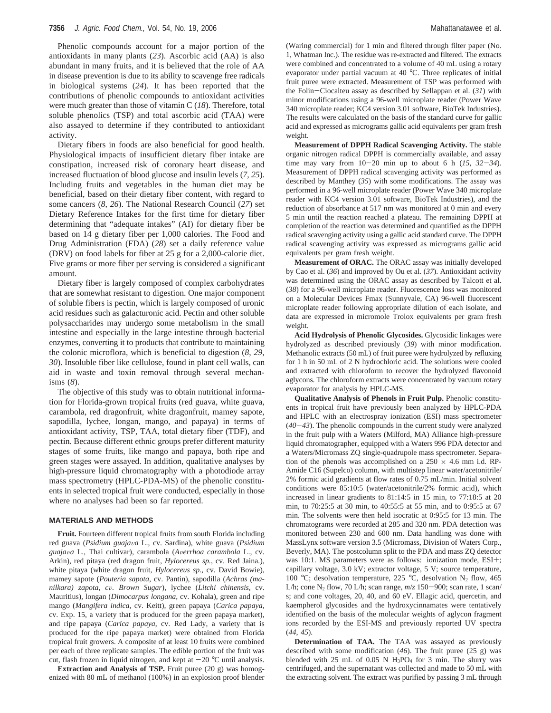Phenolic compounds account for a major portion of the antioxidants in many plants (*23*). Ascorbic acid (AA) is also abundant in many fruits, and it is believed that the role of AA in disease prevention is due to its ability to scavenge free radicals in biological systems (*24*). It has been reported that the contributions of phenolic compounds to antioxidant activities were much greater than those of vitamin C (*18*). Therefore, total soluble phenolics (TSP) and total ascorbic acid (TAA) were also assayed to determine if they contributed to antioxidant activity.

Dietary fibers in foods are also beneficial for good health. Physiological impacts of insufficient dietary fiber intake are constipation, increased risk of coronary heart disease, and increased fluctuation of blood glucose and insulin levels (*7*, *25*). Including fruits and vegetables in the human diet may be beneficial, based on their dietary fiber content, with regard to some cancers (*8*, *26*). The National Research Council (*27*) set Dietary Reference Intakes for the first time for dietary fiber determining that "adequate intakes" (AI) for dietary fiber be based on 14 g dietary fiber per 1,000 calories. The Food and Drug Administration (FDA) (*28*) set a daily reference value (DRV) on food labels for fiber at 25 g for a 2,000-calorie diet. Five grams or more fiber per serving is considered a significant amount.

Dietary fiber is largely composed of complex carbohydrates that are somewhat resistant to digestion. One major component of soluble fibers is pectin, which is largely composed of uronic acid residues such as galacturonic acid. Pectin and other soluble polysaccharides may undergo some metabolism in the small intestine and especially in the large intestine through bacterial enzymes, converting it to products that contribute to maintaining the colonic microflora, which is beneficial to digestion (*8*, *29*, *30*). Insoluble fiber like cellulose, found in plant cell walls, can aid in waste and toxin removal through several mechanisms (*8*).

The objective of this study was to obtain nutritional information for Florida-grown tropical fruits (red guava, white guava, carambola, red dragonfruit, white dragonfruit, mamey sapote, sapodilla, lychee, longan, mango, and papaya) in terms of antioxidant activity, TSP, TAA, total dietary fiber (TDF), and pectin. Because different ethnic groups prefer different maturity stages of some fruits, like mango and papaya, both ripe and green stages were assayed. In addition, qualitative analyses by high-pressure liquid chromatography with a photodiode array mass spectrometry (HPLC-PDA-MS) of the phenolic constituents in selected tropical fruit were conducted, especially in those where no analyses had been so far reported.

#### **MATERIALS AND METHODS**

**Fruit.** Fourteen different tropical fruits from south Florida including red guava (*Psidium guaja*V*<sup>a</sup>* L., cv. Sardina), white guava (*Psidium guaja*V*<sup>a</sup>* L., Thai cultivar), carambola (*A*V*errhoa carambola* L., cv. Arkin), red pitaya (red dragon fruit, *Hylocereus sp.*, cv. Red Jaina*.*), white pitaya (white dragon fruit, *Hylocereus sp.*, cv. David Bowie), mamey sapote (*Pouteria sapota*, cv. Pantin), sapodilla (*Achras (manilkara) zapota, c*V*. Brown Sugar*), lychee (*Litchi chinensis*, cv. Mauritius), longan (*Dimocarpus longana*, cv. Kohala), green and ripe mango (*Mangifera indica*, cv. Keitt), green papaya (*Carica papaya*, cv. Exp. 15, a variety that is produced for the green papaya market), and ripe papaya (*Carica papaya*, cv. Red Lady, a variety that is produced for the ripe papaya market) were obtained from Florida tropical fruit growers. A composite of at least 10 fruits were combined per each of three replicate samples. The edible portion of the fruit was cut, flash frozen in liquid nitrogen, and kept at  $-20$  °C until analysis.

**Extraction and Analysis of TSP.** Fruit puree (20 g) was homogenized with 80 mL of methanol (100%) in an explosion proof blender (Waring commercial) for 1 min and filtered through filter paper (No. 1, Whatman Inc.). The residue was re-extracted and filtered. The extracts were combined and concentrated to a volume of 40 mL using a rotary evaporator under partial vacuum at 40 °C. Three replicates of initial fruit puree were extracted. Measurement of TSP was performed with the Folin-Ciocalteu assay as described by Sellappan et al. (*31*) with minor modifications using a 96-well microplate reader (Power Wave 340 microplate reader; KC4 version 3.01 software, BioTek Industries). The results were calculated on the basis of the standard curve for gallic acid and expressed as micrograms gallic acid equivalents per gram fresh weight.

**Measurement of DPPH Radical Scavenging Activity.** The stable organic nitrogen radical DPPH is commercially available, and assay time may vary from  $10-20$  min up to about 6 h  $(15, 32-34)$ . Measurement of DPPH radical scavenging activity was performed as described by Manthey (*35*) with some modifications. The assay was performed in a 96-well microplate reader (Power Wave 340 microplate reader with KC4 version 3.01 software, BioTek Industries), and the reduction of absorbance at 517 nm was monitored at 0 min and every 5 min until the reaction reached a plateau. The remaining DPPH at completion of the reaction was determined and quantified as the DPPH radical scavenging activity using a gallic acid standard curve. The DPPH radical scavenging activity was expressed as micrograms gallic acid equivalents per gram fresh weight.

**Measurement of ORAC.** The ORAC assay was initially developed by Cao et al. (*36*) and improved by Ou et al. (*37*). Antioxidant activity was determined using the ORAC assay as described by Talcott et al. (*38*) for a 96-well microplate reader. Fluorescence loss was monitored on a Molecular Devices Fmax (Sunnyvale, CA) 96-well fluorescent microplate reader following appropriate dilution of each isolate, and data are expressed in micromole Trolox equivalents per gram fresh weight.

**Acid Hydrolysis of Phenolic Glycosides.** Glycosidic linkages were hydrolyzed as described previously (*39*) with minor modification. Methanolic extracts (50 mL) of fruit puree were hydrolyzed by refluxing for 1 h in 50 mL of 2 N hydrochloric acid. The solutions were cooled and extracted with chloroform to recover the hydrolyzed flavonoid aglycons. The chloroform extracts were concentrated by vacuum rotary evaporator for analysis by HPLC-MS.

**Qualitative Analysis of Phenols in Fruit Pulp.** Phenolic constituents in tropical fruit have previously been analyzed by HPLC-PDA and HPLC with an electrospray ionization (ESI) mass spectrometer (*40*-*43*). The phenolic compounds in the current study were analyzed in the fruit pulp with a Waters (Milford, MA) Alliance high-pressure liquid chromatographer, equipped with a Waters 996 PDA detector and a Waters/Micromass ZQ single-quadrupole mass spectrometer. Separation of the phenols was accomplished on a  $250 \times 4.6$  mm i.d. RP-Amide C16 (Supelco) column, with multistep linear water/acetonitrile/ 2% formic acid gradients at flow rates of 0.75 mL/min. Initial solvent conditions were 85:10:5 (water/acetonitrile/2% formic acid), which increased in linear gradients to 81:14:5 in 15 min, to 77:18:5 at 20 min, to 70:25:5 at 30 min, to 40:55:5 at 55 min, and to 0:95:5 at 67 min. The solvents were then held isocratic at 0:95:5 for 13 min. The chromatograms were recorded at 285 and 320 nm. PDA detection was monitored between 230 and 600 nm. Data handling was done with MassLynx software version 3.5 (Micromass, Division of Waters Corp., Beverly, MA). The postcolumn split to the PDA and mass ZQ detector was 10:1. MS parameters were as follows: ionization mode, ESI+; capillary voltage, 3.0 kV; extractor voltage, 5 V; source temperature, 100 °C; desolvation temperature, 225 °C, desolvation  $N_2$  flow, 465 L/h; cone N<sub>2</sub> flow, 70 L/h; scan range,  $m/z$  150-900; scan rate, 1 scan/ s; and cone voltages, 20, 40, and 60 eV. Ellagic acid, quercetin, and kaempherol glycosides and the hydroxycinnamates were tentatively identified on the basis of the molecular weights of aglycon fragment ions recorded by the ESI-MS and previously reported UV spectra (*44*, *45*).

**Determination of TAA.** The TAA was assayed as previously described with some modification (*46*). The fruit puree (25 g) was blended with  $25$  mL of  $0.05$  N  $H_3PO_4$  for 3 min. The slurry was centrifuged, and the supernatant was collected and made to 50 mL with the extracting solvent. The extract was purified by passing 3 mL through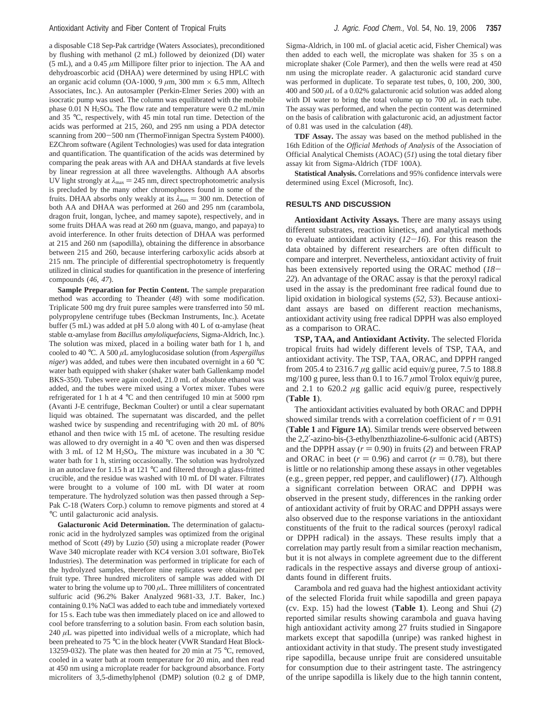a disposable C18 Sep-Pak cartridge (Waters Associates), preconditioned by flushing with methanol (2 mL) followed by deionized (DI) water (5 mL), and a 0.45 *µ*m Millipore filter prior to injection. The AA and dehydroascorbic acid (DHAA) were determined by using HPLC with an organic acid column (OA-1000,  $9 \mu m$ , 300 mm  $\times$  6.5 mm, Alltech Associates, Inc.). An autosampler (Perkin-Elmer Series 200) with an isocratic pump was used. The column was equilibrated with the mobile phase 0.01 N H2SO4. The flow rate and temperature were 0.2 mL/min and 35 °C, respectively, with 45 min total run time. Detection of the acids was performed at 215, 260, and 295 nm using a PDA detector scanning from 200-500 nm (ThermoFinnigan Spectra System P4000). EZChrom software (Agilent Technologies) was used for data integration and quantification. The quantification of the acids was determined by comparing the peak areas with AA and DHAA standards at five levels by linear regression at all three wavelengths. Although AA absorbs UV light strongly at  $\lambda_{\text{max}} = 245$  nm, direct spectrophotometric analysis is precluded by the many other chromophores found in some of the fruits. DHAA absorbs only weakly at its  $\lambda_{\text{max}} = 300$  nm. Detection of both AA and DHAA was performed at 260 and 295 nm (carambola, dragon fruit, longan, lychee, and mamey sapote), respectively, and in some fruits DHAA was read at 260 nm (guava, mango, and papaya) to avoid interference. In other fruits detection of DHAA was performed at 215 and 260 nm (sapodilla), obtaining the difference in absorbance between 215 and 260, because interfering carboxylic acids absorb at 215 nm. The principle of differential spectrophotometry is frequently utilized in clinical studies for quantification in the presence of interfering compounds (*46*, *47*).

**Sample Preparation for Pectin Content.** The sample preparation method was according to Theander (*48*) with some modification. Triplicate 500 mg dry fruit puree samples were transferred into 50 mL polypropylene centrifuge tubes (Beckman Instruments, Inc.). Acetate buffer (5 mL) was added at pH 5.0 along with 40 L of  $\alpha$ -amylase (heat stable α-amylase from *Bacillus amyloliquefaciens*, Sigma-Aldrich, Inc.). The solution was mixed, placed in a boiling water bath for 1 h, and cooled to 40 °C. A 500 *µ*L amyloglucosidase solution (from *Aspergillus niger*) was added, and tubes were then incubated overnight in a 60 °C water bath equipped with shaker (shaker water bath Gallenkamp model BKS-350). Tubes were again cooled, 21.0 mL of absolute ethanol was added, and the tubes were mixed using a Vortex mixer. Tubes were refrigerated for 1 h at 4 °C and then centrifuged 10 min at 5000 rpm (Avanti J-E centrifuge, Beckman Coulter) or until a clear supernatant liquid was obtained. The supernatant was discarded, and the pellet washed twice by suspending and recentrifuging with 20 mL of 80% ethanol and then twice with 15 mL of acetone. The resulting residue was allowed to dry overnight in a 40 °C oven and then was dispersed with 3 mL of 12 M H<sub>2</sub>SO<sub>4</sub>. The mixture was incubated in a 30  $^{\circ}$ C water bath for 1 h, stirring occasionally. The solution was hydrolyzed in an autoclave for 1.15 h at 121 °C and filtered through a glass-fritted crucible, and the residue was washed with 10 mL of DI water. Filtrates were brought to a volume of 100 mL with DI water at room temperature. The hydrolyzed solution was then passed through a Sep-Pak C-18 (Waters Corp.) column to remove pigments and stored at 4 °C until galacturonic acid analysis.

**Galacturonic Acid Determination.** The determination of galacturonic acid in the hydrolyzed samples was optimized from the original method of Scott (*49*) by Luzio (*50*) using a microplate reader (Power Wave 340 microplate reader with KC4 version 3.01 software, BioTek Industries). The determination was performed in triplicate for each of the hydrolyzed samples, therefore nine replicates were obtained per fruit type. Three hundred microliters of sample was added with DI water to bring the volume up to  $700 \mu L$ . Three milliliters of concentrated sulfuric acid (96.2% Baker Analyzed 9681-33, J.T. Baker, Inc.) containing 0.1% NaCl was added to each tube and immediately vortexed for 15 s. Each tube was then immediately placed on ice and allowed to cool before transferring to a solution basin. From each solution basin,  $240 \mu L$  was pipetted into individual wells of a microplate, which had been preheated to 75 °C in the block heater (VWR Standard Heat Block-13259-032). The plate was then heated for 20 min at 75 °C, removed, cooled in a water bath at room temperature for 20 min, and then read at 450 nm using a microplate reader for background absorbance. Forty microliters of 3,5-dimethylphenol (DMP) solution (0.2 g of DMP, Sigma-Aldrich, in 100 mL of glacial acetic acid, Fisher Chemical) was then added to each well, the microplate was shaken for 35 s on a microplate shaker (Cole Parmer), and then the wells were read at 450 nm using the microplate reader. A galacturonic acid standard curve was performed in duplicate. To separate test tubes, 0, 100, 200, 300, 400 and 500 *µ*L of a 0.02% galacturonic acid solution was added along with DI water to bring the total volume up to  $700 \mu L$  in each tube. The assay was performed, and when the pectin content was determined on the basis of calibration with galacturonic acid, an adjustment factor of 0.81 was used in the calculation (*48*).

**TDF Assay.** The assay was based on the method published in the 16th Edition of the *Official Methods of Analysis* of the Association of Official Analytical Chemists (AOAC) (*51*) using the total dietary fiber assay kit from Sigma-Aldrich (TDF 100A).

**Statistical Analysis.** Correlations and 95% confidence intervals were determined using Excel (Microsoft, Inc).

#### **RESULTS AND DISCUSSION**

**Antioxidant Activity Assays.** There are many assays using different substrates, reaction kinetics, and analytical methods to evaluate antioxidant activity (*12*-*16*). For this reason the data obtained by different researchers are often difficult to compare and interpret. Nevertheless, antioxidant activity of fruit has been extensively reported using the ORAC method (*18*- *22*). An advantage of the ORAC assay is that the peroxyl radical used in the assay is the predominant free radical found due to lipid oxidation in biological systems (*52*, *53*). Because antioxidant assays are based on different reaction mechanisms, antioxidant activity using free radical DPPH was also employed as a comparison to ORAC.

**TSP, TAA, and Antioxidant Activity.** The selected Florida tropical fruits had widely different levels of TSP, TAA, and antioxidant activity. The TSP, TAA, ORAC, and DPPH ranged from 205.4 to 2316.7 *µ*g gallic acid equiv/g puree, 7.5 to 188.8 mg/100 g puree, less than 0.1 to 16.7  $\mu$ mol Trolox equiv/g puree, and 2.1 to 620.2  $\mu$ g gallic acid equiv/g puree, respectively (**Table 1**).

The antioxidant activities evaluated by both ORAC and DPPH showed similar trends with a correlation coefficient of  $r = 0.91$ (**Table 1** and **Figure 1A**). Similar trends were observed between the 2,2′-azino-bis-(3-ethylbenzthiazoline-6-sulfonic acid (ABTS) and the DPPH assay  $(r = 0.90)$  in fruits (2) and between FRAP and ORAC in beet ( $r = 0.96$ ) and carrot ( $r = 0.78$ ), but there is little or no relationship among these assays in other vegetables (e.g., green pepper, red pepper, and cauliflower) (*17*). Although a significant correlation between ORAC and DPPH was observed in the present study, differences in the ranking order of antioxidant activity of fruit by ORAC and DPPH assays were also observed due to the response variations in the antioxidant constituents of the fruit to the radical sources (peroxyl radical or DPPH radical) in the assays. These results imply that a correlation may partly result from a similar reaction mechanism, but it is not always in complete agreement due to the different radicals in the respective assays and diverse group of antioxidants found in different fruits.

Carambola and red guava had the highest antioxidant activity of the selected Florida fruit while sapodilla and green papaya (cv. Exp. 15) had the lowest (**Table 1**). Leong and Shui (*2*) reported similar results showing carambola and guava having high antioxidant activity among 27 fruits studied in Singapore markets except that sapodilla (unripe) was ranked highest in antioxidant activity in that study. The present study investigated ripe sapodilla, because unripe fruit are considered unsuitable for consumption due to their astringent taste. The astringency of the unripe sapodilla is likely due to the high tannin content,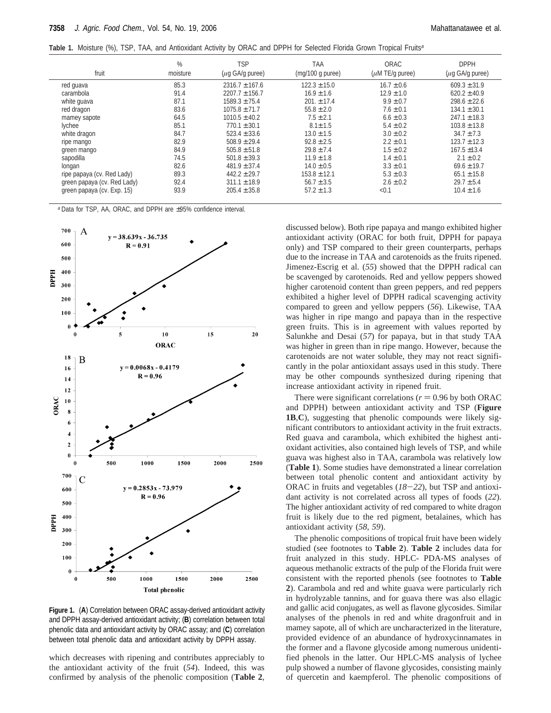Table 1. Moisture (%), TSP, TAA, and Antioxidant Activity by ORAC and DPPH for Selected Florida Grown Tropical Fruits<sup>a</sup>

| fruit                       | $\%$<br>moisture | TSP<br>$(\mu q \text{ GA/g pure})$ | TAA<br>(mg/100 g pure) | <b>ORAC</b><br>$(\mu M TE/g pure)$ | <b>DPPH</b><br>$(\mu$ g GA/g puree) |
|-----------------------------|------------------|------------------------------------|------------------------|------------------------------------|-------------------------------------|
|                             |                  |                                    |                        |                                    |                                     |
| red guava                   | 85.3             | $2316.7 \pm 167.6$                 | $122.3 \pm 15.0$       | $16.7 \pm 0.6$                     | $609.3 \pm 31.9$                    |
| carambola                   | 91.4             | $2207.7 \pm 156.7$                 | $16.9 \pm 1.6$         | $12.9 \pm 1.0$                     | $620.2 + 40.9$                      |
| white guava                 | 87.1             | $1589.3 \pm 75.4$                  | $201. \pm 17.4$        | $9.9 \pm 0.7$                      | $298.6 \pm 22.6$                    |
| red dragon                  | 83.6             | $1075.8 \pm 71.7$                  | $55.8 \pm 2.0$         | $7.6 \pm 0.1$                      | $134.1 \pm 30.1$                    |
| mamey sapote                | 64.5             | $1010.5 \pm 40.2$                  | $7.5 \pm 2.1$          | $6.6 \pm 0.3$                      | $247.1 \pm 18.3$                    |
| lychee                      | 85.1             | $770.1 \pm 30.1$                   | $8.1 \pm 1.5$          | $5.4 \pm 0.2$                      | $103.8 \pm 13.8$                    |
| white dragon                | 84.7             | $523.4 \pm 33.6$                   | $13.0 \pm 1.5$         | $3.0 \pm 0.2$                      | $34.7 \pm 7.3$                      |
| ripe mango                  | 82.9             | $508.9 \pm 29.4$                   | $92.8 + 2.5$           | $2.2 \pm 0.1$                      | $123.7 \pm 12.3$                    |
| green mango                 | 84.9             | $505.8 \pm 51.8$                   | $29.8 \pm 7.4$         | $1.5 \pm 0.2$                      | $167.5 + 13.4$                      |
| sapodilla                   | 74.5             | $501.8 \pm 39.3$                   | $11.9 \pm 1.8$         | $1.4 \pm 0.1$                      | $2.1 \pm 0.2$                       |
| longan                      | 82.6             | $481.9 \pm 37.4$                   | $14.0 \pm 0.5$         | $3.3 \pm 0.1$                      | $69.6 \pm 19.7$                     |
| ripe papaya (cv. Red Lady)  | 89.3             | $442.2 + 29.7$                     | $153.8 \pm 12.1$       | $5.3 \pm 0.3$                      | $65.1 \pm 15.8$                     |
| green papaya (cv. Red Lady) | 92.4             | $311.1 \pm 18.9$                   | $56.7 \pm 3.5$         | $2.6 \pm 0.2$                      | $29.7 \pm 5.4$                      |
| green papaya (cv. Exp. 15)  | 93.9             | $205.4 \pm 35.8$                   | $57.2 \pm 1.3$         | < 0.1                              | $10.4 \pm 1.6$                      |

<sup>a</sup> Data for TSP, AA, ORAC, and DPPH are ±95% confidence interval.



**Figure 1.** (**A**) Correlation between ORAC assay-derived antioxidant activity and DPPH assay-derived antioxidant activity; (**B**) correlation between total phenolic data and antioxidant activity by ORAC assay; and (**C**) correlation between total phenolic data and antioxidant activity by DPPH assay.

which decreases with ripening and contributes appreciably to the antioxidant activity of the fruit (*54*). Indeed, this was confirmed by analysis of the phenolic composition (**Table 2**,

discussed below). Both ripe papaya and mango exhibited higher antioxidant activity (ORAC for both fruit, DPPH for papaya only) and TSP compared to their green counterparts, perhaps due to the increase in TAA and carotenoids as the fruits ripened. Jimenez-Escrig et al. (*55*) showed that the DPPH radical can be scavenged by carotenoids. Red and yellow peppers showed higher carotenoid content than green peppers, and red peppers exhibited a higher level of DPPH radical scavenging activity compared to green and yellow peppers (*56*). Likewise, TAA was higher in ripe mango and papaya than in the respective green fruits. This is in agreement with values reported by Salunkhe and Desai (*57*) for papaya, but in that study TAA was higher in green than in ripe mango. However, because the carotenoids are not water soluble, they may not react significantly in the polar antioxidant assays used in this study. There may be other compounds synthesized during ripening that increase antioxidant activity in ripened fruit.

There were significant correlations ( $r = 0.96$  by both ORAC and DPPH) between antioxidant activity and TSP (**Figure 1B**,**C**), suggesting that phenolic compounds were likely significant contributors to antioxidant activity in the fruit extracts. Red guava and carambola, which exhibited the highest antioxidant activities, also contained high levels of TSP, and while guava was highest also in TAA, carambola was relatively low (**Table 1**). Some studies have demonstrated a linear correlation between total phenolic content and antioxidant activity by ORAC in fruits and vegetables (*18*-*22*), but TSP and antioxidant activity is not correlated across all types of foods (*22*). The higher antioxidant activity of red compared to white dragon fruit is likely due to the red pigment, betalaines, which has antioxidant activity (*58*, *59*).

The phenolic compositions of tropical fruit have been widely studied (see footnotes to **Table 2**). **Table 2** includes data for fruit analyzed in this study. HPLC- PDA-MS analyses of aqueous methanolic extracts of the pulp of the Florida fruit were consistent with the reported phenols (see footnotes to **Table 2**). Carambola and red and white guava were particularly rich in hydrolyzable tannins, and for guava there was also ellagic and gallic acid conjugates, as well as flavone glycosides. Similar analyses of the phenols in red and white dragonfruit and in mamey sapote, all of which are uncharacterized in the literature, provided evidence of an abundance of hydroxycinnamates in the former and a flavone glycoside among numerous unidentified phenols in the latter. Our HPLC-MS analysis of lychee pulp showed a number of flavone glycosides, consisting mainly of quercetin and kaempferol. The phenolic compositions of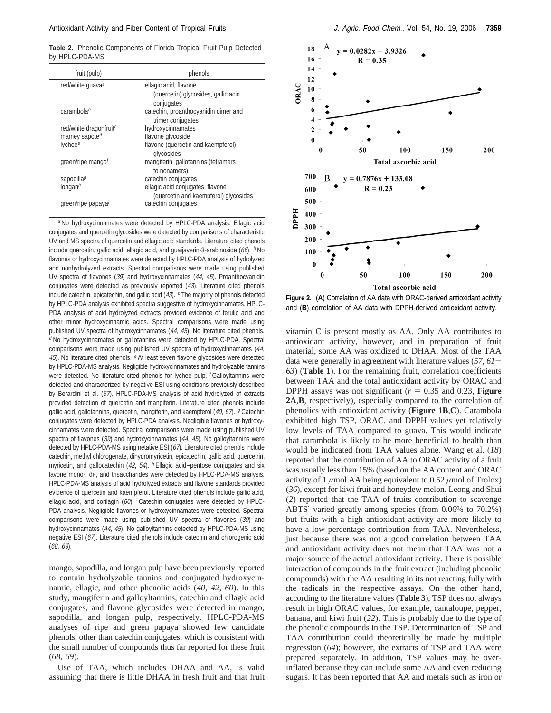**Table 2.** Phenolic Components of Florida Tropical Fruit Pulp Detected by HPLC-PDA-MS

| fruit (pulp)                           | phenols                                                                   |
|----------------------------------------|---------------------------------------------------------------------------|
| red/white quava <sup>a</sup>           | ellagic acid, flavone                                                     |
|                                        | (quercetin) glycosides, gallic acid                                       |
|                                        | conjugates                                                                |
| $c$ arambola $b$                       | catechin, proanthocyanidin dimer and<br>trimer conjugates                 |
| red/white dragonfruit <sup>c</sup>     | hydroxycinnamates                                                         |
| mamey sapote <sup><math>d</math></sup> | flavone glycoside                                                         |
| lychee <sup>e</sup>                    | flavone (quercetin and kaempferol)                                        |
|                                        | glycosides                                                                |
| green/ripe mango <sup>f</sup>          | mangiferin, gallotannins (tetramers                                       |
|                                        | to nonamers)                                                              |
| sapodilla <sup>g</sup>                 | catechin conjugates                                                       |
| longan $h$                             | ellagic acid conjugates, flavone<br>(quercetin and kaempferol) glycosides |
| green/ripe papaya'                     | catechin conjugates                                                       |

a No hydroxycinnamates were detected by HPLC-PDA analysis. Ellagic acid conjugates and quercetin glycosides were detected by comparisons of characteristic UV and MS spectra of quercetin and ellagic acid standards. Literature cited phenols include quercetin, gallic acid, ellagic acid, and guaijaverin-3-arabinoside ( $66$ ).  $b$  No flavones or hydroxycinnamates were detected by HPLC-PDA analysis of hydrolyzed and nonhydrolyzed extracts. Spectral comparisons were made using published UV spectra of flavones (39) and hydroxycinnamates (44, 45). Proanthocyanidin conjugates were detected as previously reported (43). Literature cited phenols include catechin, epicatechin, and gallic acid  $(43)$ .  $\textdegree$  The majority of phenols detected by HPLC-PDA analysis exhibited spectra suggestive of hydroxycinnamates. HPLC-PDA analysis of acid hydrolyzed extracts provided evidence of ferulic acid and other minor hydroxycinnamic acids. Spectral comparisons were made using published UV spectra of hydroxycinnamates (44, 45). No literature cited phenols. <sup>d</sup> No hydroxycinnamates or gallotannins were detected by HPLC-PDA. Spectral comparisons were made using published UV spectra of hydroxycinnamates (44, 45). No literature cited phenols.  $e$  At least seven flavone glycosides were detected by HPLC-PDA-MS analysis. Negligible hydroxycinnamates and hydrolyzable tannins were detected. No literature cited phenols for lychee pulp. f Galloyltannins were detected and characterized by negative ESI using conditions previously described by Berardini et al. (67). HPLC-PDA-MS analysis of acid hydrolyzed of extracts provided detection of quercetin and mangiferin. Literature cited phenols include gallic acid, gallotannins, quercetin, mangiferin, and kaempferol  $(40, 67)$ . <sup>g</sup> Catechin conjugates were detected by HPLC-PDA analysis. Negligible flavones or hydroxycinnamates were detected. Spectral comparisons were made using published UV spectra of flavones (39) and hydroxycinnamates (44, 45). No galloyltannins were detected by HPLC-PDA-MS using netative ESI (67). Literature cited phenols include catechin, methyl chlorogenate, dihydromyricetin, epicatechin, gallic acid, quercetrin, myricetin, and gallocatechin (42, 54). <sup>h</sup> Ellagic acid–pentose conjugates and six lavone mono-, di-, and trisaccharides were detected by HPLC-PDA-MS analysis. HPLC-PDA-MS analysis of acid hydrolyzed extracts and flavone standards provided evidence of quercetin and kaempferol. Literature cited phenols include gallic acid, ellagic acid, and corilagin (60). <sup>*i*</sup> Catechin conjugates were detected by HPLC-PDA analysis. Negligible flavones or hydroxycinnamates were detected. Spectral comparisons were made using published UV spectra of flavones (39) and hydroxycinnamates (44, 45). No galloyltannins detected by HPLC-PDA-MS using negative ESI (67). Literature cited phenols include catechin and chlorogenic acid (68, 69).

mango, sapodilla, and longan pulp have been previously reported to contain hydrolyzable tannins and conjugated hydroxycinnamic, ellagic, and other phenolic acids (*40*, *42*, *60*). In this study, mangiferin and galloyltannins, catechin and ellagic acid conjugates, and flavone glycosides were detected in mango, sapodilla, and longan pulp, respectively. HPLC-PDA-MS analyses of ripe and green papaya showed few candidate phenols, other than catechin conjugates, which is consistent with the small number of compounds thus far reported for these fruit (*68*, *69*).

Use of TAA, which includes DHAA and AA, is valid assuming that there is little DHAA in fresh fruit and that fruit



**Figure 2.** (**A**) Correlation of AA data with ORAC-derived antioxidant activity and (**B**) correlation of AA data with DPPH-derived antioxidant activity.

vitamin C is present mostly as AA. Only AA contributes to antioxidant activity, however, and in preparation of fruit material, some AA was oxidized to DHAA. Most of the TAA data were generally in agreement with literature values (*57*, *<sup>61</sup>*- *63*) (**Table 1**). For the remaining fruit, correlation coefficients between TAA and the total antioxidant activity by ORAC and DPPH assays was not significant ( $r = 0.35$  and 0.23, **Figure 2A**,**B**, respectively), especially compared to the correlation of phenolics with antioxidant activity (**Figure 1B**,**C**). Carambola exhibited high TSP, ORAC, and DPPH values yet relatively low levels of TAA compared to guava. This would indicate that carambola is likely to be more beneficial to health than would be indicated from TAA values alone. Wang et al. (*18*) reported that the contribution of AA to ORAC activity of a fruit was usually less than 15% (based on the AA content and ORAC activity of 1  $\mu$ mol AA being equivalent to 0.52  $\mu$ mol of Trolox) (*36*), except for kiwi fruit and honeydew melon. Leong and Shui (*2*) reported that the TAA of fruits contribution to scavenge ABTS′ varied greatly among species (from 0.06% to 70.2%) but fruits with a high antioxidant activity are more likely to have a low percentage contribution from TAA. Nevertheless, just because there was not a good correlation between TAA and antioxidant activity does not mean that TAA was not a major source of the actual antioxidant activity. There is possible interaction of compounds in the fruit extract (including phenolic compounds) with the AA resulting in its not reacting fully with the radicals in the respective assays. On the other hand, according to the literature values (**Table 3**), TSP does not always result in high ORAC values, for example, cantaloupe, pepper, banana, and kiwi fruit (*22*). This is probably due to the type of the phenolic compounds in the TSP. Determination of TSP and TAA contribution could theoretically be made by multiple regression (*64*); however, the extracts of TSP and TAA were prepared separately. In addition, TSP values may be overinflated because they can include some AA and even reducing sugars. It has been reported that AA and metals such as iron or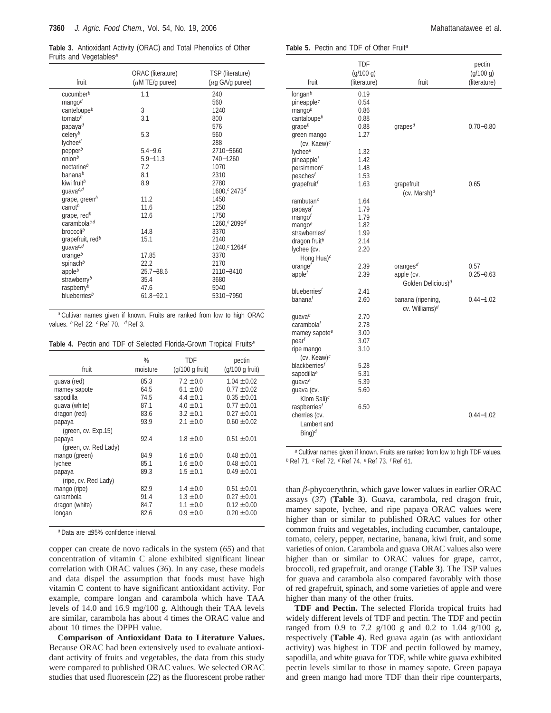**Table 3.** Antioxidant Activity (ORAC) and Total Phenolics of Other Fruits and Vegetables<sup>a</sup>

| fruit                                             | <b>ORAC</b> (literature)<br>$(\mu M TE/q pure)$ | TSP (literature)<br>$(\mu$ g GA/g puree) |
|---------------------------------------------------|-------------------------------------------------|------------------------------------------|
| cucumber <sup>b</sup>                             | 1.1                                             | 240                                      |
| mango <sup>d</sup>                                |                                                 | 560                                      |
| canteloupe <sup>b</sup>                           | 3                                               | 1240                                     |
| tomato <sup>b</sup>                               | 3.1                                             | 800                                      |
| papaya <sup>d</sup>                               |                                                 | 576                                      |
| celeryb                                           | 5.3                                             | 560                                      |
| $I$ <sub>v</sub> chee <sup>d</sup>                |                                                 | 288                                      |
| pepper <sup>b</sup>                               | $5.4 - 9.6$                                     | 2710-5660                                |
| onion <sup>b</sup>                                | $5.9 - 11.3$                                    | 740-1260                                 |
| nectarine <sup>b</sup>                            | 7.2                                             | 1070                                     |
| banana <sup>b</sup>                               | 8.1                                             | 2310                                     |
| kiwi fruit <sup>b</sup>                           | 8.9                                             | 2780                                     |
| guava <sup>c,d</sup>                              |                                                 | 1600, <sup>c</sup> 2473 <sup>d</sup>     |
|                                                   | 11.2                                            | 1450                                     |
| grape, green <sup>b</sup><br>carrot <sup>b</sup>  | 11.6                                            | 1250                                     |
|                                                   | 12.6                                            | 1750                                     |
| grape, red <sup>b</sup>                           |                                                 |                                          |
| carambola <sup>c,d</sup><br>broccoli <sup>b</sup> |                                                 | 1260, <sup>c</sup> 2099 <sup>d</sup>     |
|                                                   | 14.8                                            | 3370                                     |
| grapefruit, red <sup>b</sup>                      | 15.1                                            | 2140                                     |
| guava <sup>c,d</sup>                              |                                                 | 1240, <sup>c</sup> 1264 <sup>d</sup>     |
| orangeb                                           | 17.85                                           | 3370                                     |
| spinach <sup>b</sup>                              | 22.2                                            | 2170                                     |
| apple <sup>b</sup>                                | $25.7 - 38.6$                                   | 2110-3410                                |
| strawberryb                                       | 35.4                                            | 3680                                     |
| raspberry <sup>b</sup>                            | 47.6                                            | 5040                                     |
| blueberries <sup>b</sup>                          | $61.8 - 92.1$                                   | 5310-7950                                |
|                                                   |                                                 |                                          |

a Cultivar names given if known. Fruits are ranked from low to high ORAC values.  $b$  Ref 22.  $c$  Ref 70.  $d$  Ref 3.

Table 4. Pectin and TDF of Selected Florida-Grown Tropical Fruits<sup>a</sup>

| fruit                 | %<br>moisture | TDF<br>$(g/100 g$ fruit) | pectin<br>$(g/100 g$ fruit) |
|-----------------------|---------------|--------------------------|-----------------------------|
| guava (red)           | 85.3          | $7.2 \pm 0.0$            | $1.04 \pm 0.02$             |
| mamey sapote          | 64.5          | $6.1 \pm 0.0$            | $0.77 \pm 0.02$             |
| sapodilla             | 74.5          | $4.4 \pm 0.1$            | $0.35 \pm 0.01$             |
| quava (white)         | 87.1          | $4.0 \pm 0.1$            | $0.77 \pm 0.01$             |
| dragon (red)          | 83.6          | $3.2 \pm 0.1$            | $0.27 \pm 0.01$             |
| papaya                | 93.9          | $2.1 \pm 0.0$            | $0.60 \pm 0.02$             |
| (green, cv. Exp.15)   |               |                          |                             |
| papaya                | 92.4          | $1.8 \pm 0.0$            | $0.51 \pm 0.01$             |
| (green, cv. Red Lady) |               |                          |                             |
| mango (green)         | 84.9          | $1.6 \pm 0.0$            | $0.48 \pm 0.01$             |
| lychee                | 85.1          | $1.6 \pm 0.0$            | $0.48 \pm 0.01$             |
| papaya                | 89.3          | $1.5 \pm 0.1$            | $0.49 \pm 0.01$             |
| (ripe, cv. Red Lady)  |               |                          |                             |
| mango (ripe)          | 82.9          | $1.4 \pm 0.0$            | $0.51 \pm 0.01$             |
| carambola             | 91.4          | $1.3 \pm 0.0$            | $0.27 \pm 0.01$             |
| dragon (white)        | 84.7          | $1.1 \pm 0.0$            | $0.12 \pm 0.00$             |
| longan                | 82.6          | $0.9 \pm 0.0$            | $0.20 \pm 0.00$             |
|                       |               |                          |                             |

<sup>a</sup> Data are ±95% confidence interval.

copper can create de novo radicals in the system (*65*) and that concentration of vitamin C alone exhibited significant linear correlation with ORAC values (*36*). In any case, these models and data dispel the assumption that foods must have high vitamin C content to have significant antioxidant activity. For example, compare longan and carambola which have TAA levels of 14.0 and 16.9 mg/100 g. Although their TAA levels are similar, carambola has about 4 times the ORAC value and about 10 times the DPPH value.

**Comparison of Antioxidant Data to Literature Values.** Because ORAC had been extensively used to evaluate antioxidant activity of fruits and vegetables, the data from this study were compared to published ORAC values. We selected ORAC studies that used fluorescein (*22*) as the fluorescent probe rather

#### **Table 5.** Pectin and TDF of Other Fruit<sup>a</sup>

| fruit                                                                                                                                                                                                                                                                         | TDF<br>(q/100 q)<br>(literature)                                             | fruit                                                                | pectin<br>(g/100 g)<br>(literature) |
|-------------------------------------------------------------------------------------------------------------------------------------------------------------------------------------------------------------------------------------------------------------------------------|------------------------------------------------------------------------------|----------------------------------------------------------------------|-------------------------------------|
| longan <sup>b</sup><br>pineapplec<br>mango <sup>b</sup><br>cantaloupe <sup>b</sup><br>$\text{grape}^b$<br>green mango<br>(cv. Kaew) <sup>c</sup><br>lychee <sup>e</sup>                                                                                                       | 0.19<br>0.54<br>0.86<br>0.88<br>0.88<br>1.27<br>1.32                         | grapes <sup>d</sup>                                                  | $0.70 - 0.80$                       |
| pineapple <sup>f</sup><br>persimmon <sup>c</sup><br>peaches'<br>grapefruit <sup>f</sup>                                                                                                                                                                                       | 1.42<br>1.48<br>1.53<br>1.63                                                 | grapefruit<br>(cv. Marsh) $d$                                        | 0.65                                |
| rambutan $c$<br>papaya <sup>f</sup><br>$m$ ango <sup><math>f</math></sup><br>mangoe<br>strawberries <sup>f</sup><br>dragon fruit <sup>b</sup><br>lychee (cv.                                                                                                                  | 1.64<br>1.79<br>1.79<br>1.82<br>1.99<br>2.14<br>2.20                         |                                                                      |                                     |
| Hong Hua) $c$<br>orange <sup>f</sup><br>apple <sup>f</sup>                                                                                                                                                                                                                    | 2.39<br>2.39                                                                 | oranges <sup>d</sup><br>apple (cv.<br>Golden Delicious) <sup>d</sup> | 0.57<br>$0.25 - 0.63$               |
| blueberries <sup>f</sup><br>banana $f$                                                                                                                                                                                                                                        | 2.41<br>2.60                                                                 | banana (ripening,<br>cv. Williams) <sup>d</sup>                      | $0.44 - 1.02$                       |
| guava <sup>b</sup><br>carambola <sup>f</sup><br>mamey sapote <sup>e</sup><br>pear <sup>f</sup><br>ripe mango<br>(cv. Keaw) <sup>c</sup><br>blackberries <sup>f</sup><br>sapodilla <sup>e</sup><br>guavae<br>guava (cv.<br>Klom Sali) <sup>c</sup><br>raspberries <sup>f</sup> | 2.70<br>2.78<br>3.00<br>3.07<br>3.10<br>5.28<br>5.31<br>5.39<br>5.60<br>6.50 |                                                                      |                                     |
| cherries (cv.<br>Lambert and<br>$\text{Bing}$ <sup>d</sup>                                                                                                                                                                                                                    |                                                                              |                                                                      | $0.44 - 1.02$                       |

a Cultivar names given if known. Fruits are ranked from low to high TDF values. <sup>b</sup> Ref 71. <sup>c</sup> Ref 72. <sup>d</sup> Ref 74. <sup>e</sup> Ref 73. <sup>f</sup> Ref 61.

than *â*-phycoerythrin, which gave lower values in earlier ORAC assays (*37*) (**Table 3**). Guava, carambola, red dragon fruit, mamey sapote, lychee, and ripe papaya ORAC values were higher than or similar to published ORAC values for other common fruits and vegetables, including cucumber, cantaloupe, tomato, celery, pepper, nectarine, banana, kiwi fruit, and some varieties of onion. Carambola and guava ORAC values also were higher than or similar to ORAC values for grape, carrot, broccoli, red grapefruit, and orange (**Table 3**). The TSP values for guava and carambola also compared favorably with those of red grapefruit, spinach, and some varieties of apple and were higher than many of the other fruits.

**TDF and Pectin.** The selected Florida tropical fruits had widely different levels of TDF and pectin. The TDF and pectin ranged from 0.9 to 7.2 g/100 g and 0.2 to 1.04 g/100 g, respectively (**Table 4**). Red guava again (as with antioxidant activity) was highest in TDF and pectin followed by mamey, sapodilla, and white guava for TDF, while white guava exhibited pectin levels similar to those in mamey sapote. Green papaya and green mango had more TDF than their ripe counterparts,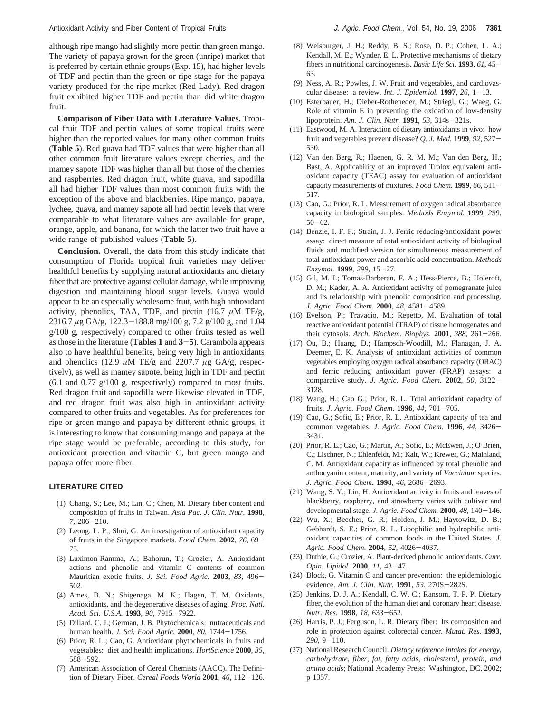although ripe mango had slightly more pectin than green mango. The variety of papaya grown for the green (unripe) market that is preferred by certain ethnic groups (Exp. 15), had higher levels of TDF and pectin than the green or ripe stage for the papaya variety produced for the ripe market (Red Lady). Red dragon fruit exhibited higher TDF and pectin than did white dragon fruit.

**Comparison of Fiber Data with Literature Values.** Tropical fruit TDF and pectin values of some tropical fruits were higher than the reported values for many other common fruits (**Table 5**). Red guava had TDF values that were higher than all other common fruit literature values except cherries, and the mamey sapote TDF was higher than all but those of the cherries and raspberries. Red dragon fruit, white guava, and sapodilla all had higher TDF values than most common fruits with the exception of the above and blackberries. Ripe mango, papaya, lychee, guava, and mamey sapote all had pectin levels that were comparable to what literature values are available for grape, orange, apple, and banana, for which the latter two fruit have a wide range of published values (**Table 5**).

**Conclusion.** Overall, the data from this study indicate that consumption of Florida tropical fruit varieties may deliver healthful benefits by supplying natural antioxidants and dietary fiber that are protective against cellular damage, while improving digestion and maintaining blood sugar levels. Guava would appear to be an especially wholesome fruit, with high antioxidant activity, phenolics, TAA, TDF, and pectin  $(16.7 \mu M)$  TE/g, 2316.7 *<sup>µ</sup>*g GA/g, 122.3-188.8 mg/100 g, 7.2 g/100 g, and 1.04 g/100 g, respectively) compared to other fruits tested as well as those in the literature (**Tables 1** and **<sup>3</sup>**-**5**). Carambola appears also to have healthful benefits, being very high in antioxidants and phenolics (12.9  $\mu$ M TE/g and 2207.7  $\mu$ g GA/g, respectively), as well as mamey sapote, being high in TDF and pectin  $(6.1 \text{ and } 0.77 \text{ g}/100 \text{ g}$ , respectively) compared to most fruits. Red dragon fruit and sapodilla were likewise elevated in TDF, and red dragon fruit was also high in antioxidant activity compared to other fruits and vegetables. As for preferences for ripe or green mango and papaya by different ethnic groups, it is interesting to know that consuming mango and papaya at the ripe stage would be preferable, according to this study, for antioxidant protection and vitamin C, but green mango and papaya offer more fiber.

#### **LITERATURE CITED**

- (1) Chang, S.; Lee, M.; Lin, C.; Chen, M. Dietary fiber content and composition of fruits in Taiwan. *Asia Pac. J. Clin. Nutr.* **1998**, *<sup>7</sup>*, 206-210.
- (2) Leong, L. P.; Shui, G. An investigation of antioxidant capacity of fruits in the Singapore markets. *Food Chem.* **<sup>2002</sup>**, *<sup>76</sup>*, 69- 75.
- (3) Luximon-Ramma, A.; Bahorun, T.; Crozier, A. Antioxidant actions and phenolic and vitamin C contents of common Mauritian exotic fruits. *J. Sci. Food Agric.* **<sup>2003</sup>**, *<sup>83</sup>*, 496- 502.
- (4) Ames, B. N.; Shigenaga, M. K.; Hagen, T. M. Oxidants, antioxidants, and the degenerative diseases of aging. *Proc. Natl. Acad. Sci. U.S.A.* **<sup>1993</sup>**, *<sup>90</sup>*, 7915-7922.
- (5) Dillard, C. J.; German, J. B. Phytochemicals: nutraceuticals and human health. *J. Sci. Food Agric.* **<sup>2000</sup>**, *<sup>80</sup>*, 1744-1756.
- (6) Prior, R. L.; Cao, G. Antioxidant phytochemicals in fruits and vegetables: diet and health implications. *HortScience* **2000**, *35*, <sup>588</sup>-592.
- (7) American Association of Cereal Chemists (AACC). The Definition of Dietary Fiber. *Cereal Foods World* **<sup>2001</sup>**, *<sup>46</sup>*, 112-126.
- (8) Weisburger, J. H.; Reddy, B. S.; Rose, D. P.; Cohen, L. A.; Kendall, M. E.; Wynder, E. L. Protective mechanisms of dietary fibers in nutritional carcinogenesis. *Basic Life Sci.* **<sup>1993</sup>**, *<sup>61</sup>*, 45- 63.
- (9) Ness, A. R.; Powles, J. W. Fruit and vegetables, and cardiovascular disease: a review. *Int. J. Epidemiol.* **<sup>1997</sup>**, *<sup>26</sup>*, 1-13.
- (10) Esterbauer, H.; Dieber-Rotheneder, M.; Striegl, G.; Waeg, G. Role of vitamin E in preventing the oxidation of low-density lipoprotein. *Am. J. Clin. Nutr.* **<sup>1991</sup>**, *<sup>53</sup>*, 314s-321s.
- (11) Eastwood, M. A. Interaction of dietary antioxidants in vivo: how fruit and vegetables prevent disease? *Q. J. Med.* **<sup>1999</sup>**, *<sup>92</sup>*, 527- 530.
- (12) Van den Berg, R.; Haenen, G. R. M. M.; Van den Berg, H.; Bast, A. Applicability of an improved Trolox equivalent antioxidant capacity (TEAC) assay for evaluation of antioxidant capacity measurements of mixtures. *Food Chem.* **<sup>1999</sup>**, *<sup>66</sup>*, 511- 517.
- (13) Cao, G.; Prior, R. L. Measurement of oxygen radical absorbance capacity in biological samples. *Methods Enzymol.* **1999**, *299*,  $50 - 62$ .
- (14) Benzie, I. F. F.; Strain, J. J. Ferric reducing/antioxidant power assay: direct measure of total antioxidant activity of biological fluids and modified version for simultaneous measurement of total antioxidant power and ascorbic acid concentration. *Methods Enzymol.* **<sup>1999</sup>**, *<sup>299</sup>*, 15-27.
- (15) Gil, M. I.; Tomas-Barberan, F. A.; Hess-Pierce, B.; Holeroft, D. M.; Kader, A. A. Antioxidant activity of pomegranate juice and its relationship with phenolic composition and processing. *J. Agric. Food Chem.* **<sup>2000</sup>**, *<sup>48</sup>*, 4581-4589.
- (16) Evelson, P.; Travacio, M.; Repetto, M. Evaluation of total reactive antioxidant potential (TRAP) of tissue homogenates and their cytosols. *Arch. Biochem. Biophys.* **<sup>2001</sup>**, *<sup>388</sup>*, 261-266.
- (17) Ou, B.; Huang, D.; Hampsch-Woodill, M.; Flanagan, J. A. Deemer, E. K. Analysis of antioxidant activities of common vegetables employing oxygen radical absorbance capacity (ORAC) and ferric reducing antioxidant power (FRAP) assays: a comparative study. *J. Agric. Food Chem.* **<sup>2002</sup>**, *<sup>50</sup>*, 3122- 3128.
- (18) Wang, H.; Cao G.; Prior, R. L. Total antioxidant capacity of fruits. *J. Agric. Food Chem.* **<sup>1996</sup>**, *<sup>44</sup>*, 701-705.
- (19) Cao, G.; Sofic, E.; Prior, R. L. Antioxidant capacity of tea and common vegetables. *J. Agric. Food Chem.* **<sup>1996</sup>**, *<sup>44</sup>*, 3426- 3431.
- (20) Prior, R. L.; Cao, G.; Martin, A.; Sofic, E.; McEwen, J.; O'Brien, C.; Lischner, N.; Ehlenfeldt, M.; Kalt, W.; Krewer, G.; Mainland, C. M. Antioxidant capacity as influenced by total phenolic and anthocyanin content, maturity, and variety of *Vaccinium* species. *J. Agric. Food Chem.* **<sup>1998</sup>**, *<sup>46</sup>*, 2686-2693.
- (21) Wang, S. Y.; Lin, H. Antioxidant activity in fruits and leaves of blackberry, raspberry, and strawberry varies with cultivar and developmental stage. *J. Agric. Food Chem.* **<sup>2000</sup>**, *<sup>48</sup>*, 140-146.
- (22) Wu, X.; Beecher, G. R.; Holden, J. M.; Haytowitz, D. B.; Gebhardt, S. E.; Prior, R. L. Lipophilic and hydrophilic antioxidant capacities of common foods in the United States. *J. Agric. Food Chem.* **<sup>2004</sup>**, *<sup>52</sup>*, 4026-4037.
- (23) Duthie, G.; Crozier, A. Plant-derived phenolic antioxidants. *Curr. Opin. Lipidol.* **<sup>2000</sup>**, *<sup>11</sup>*, 43-47.
- (24) Block, G. Vitamin C and cancer prevention: the epidemiologic evidence. *Am. J. Clin. Nutr.* **<sup>1991</sup>**, *<sup>53</sup>*, 270S-282S.
- (25) Jenkins, D. J. A.; Kendall, C. W. C.; Ransom, T. P. P. Dietary fiber, the evolution of the human diet and coronary heart disease. *Nutr. Res.* **<sup>1998</sup>**, *<sup>18</sup>*, 633-652.
- (26) Harris, P. J.; Ferguson, L. R. Dietary fiber: Its composition and role in protection against colorectal cancer. *Mutat. Res.* **1993**, *<sup>290</sup>*, 9-110.
- (27) National Research Council. *Dietary reference intakes for energy, carbohydrate, fiber, fat, fatty acids, cholesterol, protein, and amino acids*; National Academy Press: Washington, DC, 2002; p 1357.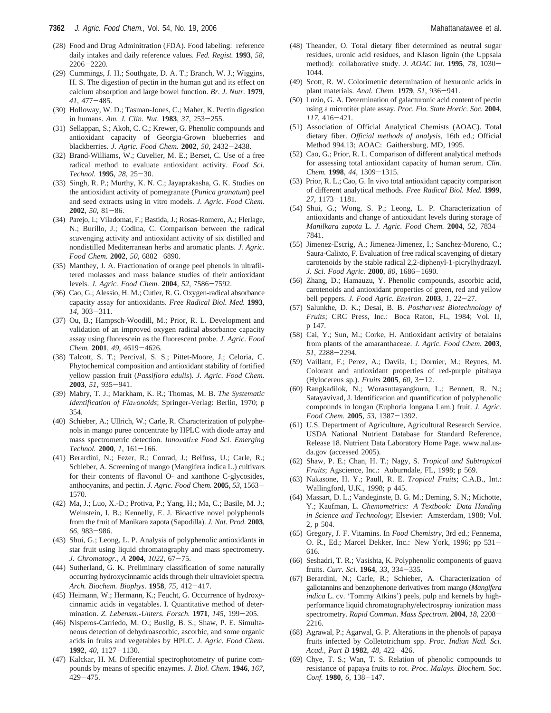- (28) Food and Drug Adminitration (FDA). Food labeling: reference daily intakes and daily reference values. *Fed. Regist.* **1993**, *58*, <sup>2206</sup>-2220.
- (29) Cummings, J. H.; Southgate, D. A. T.; Branch, W. J.; Wiggins, H. S. The digestion of pectin in the human gut and its effect on calcium absorption and large bowel function. *Br. J. Nutr.* **1979**, *<sup>41</sup>*, 477-485.
- (30) Holloway, W. D.; Tasman-Jones, C.; Maher, K. Pectin digestion in humans. *Am. J. Clin. Nut.* **<sup>1983</sup>**, *<sup>37</sup>*, 253-255.
- (31) Sellappan, S.; Akoh, C. C.; Krewer, G. Phenolic compounds and antioxidant capacity of Georgia-Grown blueberries and blackberries. *J. Agric. Food Chem.* **<sup>2002</sup>**, *<sup>50</sup>*, 2432-2438.
- (32) Brand-Williams, W.; Cuvelier, M. E.; Berset, C. Use of a free radical method to evaluate antioxidant activity. *Food Sci. Technol.* **<sup>1995</sup>**, *<sup>28</sup>*, 25-30.
- (33) Singh, R. P.; Murthy, K. N. C.; Jayaprakasha, G. K. Studies on the antioxidant activity of pomegranate (*Punica granatum*) peel and seed extracts using in vitro models. *J. Agric. Food Chem.* **<sup>2002</sup>**, *<sup>50</sup>*, 81-86.
- (34) Parejo, I.; Viladomat, F.; Bastida, J.; Rosas-Romero, A.; Flerlage, N.; Burillo, J.; Codina, C. Comparison between the radical scavenging activity and antioxidant activity of six distilled and nondistilled Mediterranean herbs and aromatic plants. *J. Agric. Food Chem.* **<sup>2002</sup>**, *<sup>50</sup>*, 6882-6890.
- (35) Manthey, J. A. Fractionation of orange peel phenols in ultrafiltered molasses and mass balance studies of their antioxidant levels. *J. Agric. Food Chem.* **<sup>2004</sup>**, *<sup>52</sup>*, 7586-7592.
- (36) Cao, G.; Alessio, H. M.; Cutler, R. G. Oxygen-radical absorbance capacity assay for antioxidants. *Free Radical Biol. Med.* **1993**, *<sup>14</sup>*, 303-311.
- (37) Ou, B.; Hampsch-Woodill, M.; Prior, R. L. Development and validation of an improved oxygen radical absorbance capacity assay using fluorescein as the fluorescent probe. *J. Agric. Food Chem.* **<sup>2001</sup>**, *<sup>49</sup>*, 4619-4626.
- (38) Talcott, S. T.; Percival, S. S.; Pittet-Moore, J.; Celoria, C. Phytochemical composition and antioxidant stability of fortified yellow passion fruit (*Passiflora edulis*). *J. Agric. Food Chem.* **<sup>2003</sup>**, *<sup>51</sup>*, 935-941.
- (39) Mabry, T. J.; Markham, K. R.; Thomas, M. B. *The Systematic Identification of Fla*V*onoids*; Springer-Verlag: Berlin, 1970; p 354.
- (40) Schieber, A.; Ullrich, W.; Carle, R. Characterization of polyphenols in mango puree concentrate by HPLC with diode array and mass spectrometric detection. *Innovative Food Sci. Emerging Technol.* **<sup>2000</sup>**, *<sup>1</sup>*, 161-166.
- (41) Berardini, N.; Fezer, R.; Conrad, J.; Beifuss, U.; Carle, R.; Schieber, A. Screening of mango (Mangifera indica L.) cultivars for their contents of flavonol O- and xanthone C-glycosides, anthocyanins, and pectin. *J. Agric. Food Chem.* **<sup>2005</sup>**, *<sup>53</sup>*, 1563- 1570.
- (42) Ma, J.; Luo, X.-D.; Protiva, P.; Yang, H.; Ma, C.; Basile, M. J.; Weinstein, I. B.; Kennelly, E. J. Bioactive novel polyphenols from the fruit of Manikara zapota (Sapodilla). *J. Nat. Prod.* **2003**, *<sup>66</sup>*, 983-986.
- (43) Shui, G.; Leong, L. P. Analysis of polyphenolic antioxidants in star fruit using liquid chromatography and mass spectrometry. *J. Chromatogr., A* **<sup>2004</sup>**, *<sup>1022</sup>*, 67-75.
- (44) Sutherland, G. K. Preliminary classification of some naturally occurring hydroxycinnamic acids through their ultraviolet spectra. *Arch. Biochem. Biophys*. **<sup>1958</sup>**, *<sup>75</sup>*, 412-417.
- (45) Heimann, W.; Hermann, K.; Feucht, G. Occurrence of hydroxycinnamic acids in vegatables. I. Quantitative method of determination. *Z. Lebensm.-Unters. Forsch.* **<sup>1971</sup>**, *<sup>145</sup>*, 199-205.
- (46) Nisperos-Carriedo, M. O.; Buslig, B. S.; Shaw, P. E. Simultaneous detection of dehydroascorbic, ascorbic, and some organic acids in fruits and vegetables by HPLC. *J. Agric. Food Chem.* **<sup>1992</sup>**, *<sup>40</sup>*, 1127-1130.
- (47) Kalckar, H. M. Differential spectrophotometry of purine compounds by means of specific enzymes. *J. Biol. Chem.* **1946**, *167*, <sup>429</sup>-475.
- (48) Theander, O. Total dietary fiber determined as neutral sugar residues, uronic acid residues, and Klason lignin (the Uppsala method): collaborative study. *J. AOAC Int.* **<sup>1995</sup>**, *<sup>78</sup>*, 1030- 1044.
- (49) Scott, R. W. Colorimetric determination of hexuronic acids in plant materials. *Anal. Chem.* **<sup>1979</sup>**, *<sup>51</sup>*, 936-941.
- (50) Luzio, G. A. Determination of galacturonic acid content of pectin using a microtiter plate assay. *Proc. Fla. State Hortic. Soc.* **2004**, *<sup>117</sup>*, 416-421.
- (51) Association of Official Analytical Chemists (AOAC). Total dietary fiber. *Official methods of analysis*, 16th ed.; Official Method 994.13; AOAC: Gaithersburg, MD, 1995.
- (52) Cao, G.; Prior, R. L. Comparison of different analytical methods for assessing total antioxidant capacity of human serum. *Clin. Chem.* **<sup>1998</sup>**, *<sup>44</sup>*, 1309-1315.
- (53) Prior, R. L.; Cao, G. In vivo total antioxidant capacity comparison of different analytical methods. *Free Radical Biol. Med.* **1999**, *<sup>27</sup>*, 1173-1181.
- (54) Shui, G.; Wong, S. P.; Leong, L. P. Characterization of antioxidants and change of antioxidant levels during storage of *Manilkara zapota* L. *J. Agric. Food Chem.* **<sup>2004</sup>**, *<sup>52</sup>*, 7834- 7841.
- (55) Jimenez-Escrig, A.; Jimenez-Jimenez, I.; Sanchez-Moreno, C.; Saura-Calixto, F. Evaluation of free radical scavenging of dietary carotenoids by the stable radical 2,2-diphenyl-1-picrylhydrazyl. *J. Sci. Food Agric.* **<sup>2000</sup>**, *<sup>80</sup>*, 1686-1690.
- (56) Zhang, D.; Hamauzu, Y. Phenolic compounds, ascorbic acid, carotenoids and antioxidant properties of green, red and yellow bell peppers. *J. Food Agric. En*V*iron.* **<sup>2003</sup>**, *<sup>1</sup>*, 22-27.
- (57) Salunkhe, D. K.; Desai, B. B. *Postharvest Biotechnology of Fruits*; CRC Press, Inc.: Boca Raton, FL, 1984; Vol. II, p 147.
- (58) Cai, Y.; Sun, M.; Corke, H. Antioxidant activity of betalains from plants of the amaranthaceae. *J. Agric. Food Chem.* **2003**, *<sup>51</sup>*, 2288-2294.
- (59) Vaillant, F.; Perez, A.; Davila, I.; Dornier, M.; Reynes, M. Colorant and antioxidant properties of red-purple pitahaya (Hylocereus sp.). *Fruits* **<sup>2005</sup>**, *<sup>60</sup>*, 3-12.
- (60) Rangkadilok, N.; Worasuttayangkurn, L.; Bennett, R. N.; Satayavivad, J. Identification and quantification of polyphenolic compounds in longan (Euphoria longana Lam.) fruit. *J. Agric. Food Chem.* **<sup>2005</sup>**, *<sup>53</sup>*, 1387-1392.
- (61) U.S. Department of Agriculture, Agricultural Research Service. USDA National Nutrient Database for Standard Reference, Release 18. Nutrient Data Laboratory Home Page. www.nal.usda.gov (accessed 2005).
- (62) Shaw, P. E.; Chan, H. T.; Nagy, S. *Tropical and Subtropical Fruits*; Agscience, Inc.: Auburndale, FL, 1998; p 569.
- (63) Nakasone, H. Y.; Paull, R. E. *Tropical Fruits*; C.A.B., Int.: Wallingford, U.K., 1998; p 445.
- (64) Massart, D. L.; Vandeginste, B. G. M.; Deming, S. N.; Michotte, Y.; Kaufman, L. *Chemometrics: A Textbook: Data Handing in Science and Technology*; Elsevier: Amsterdam, 1988; Vol. 2, p 504.
- (65) Gregory, J. F. Vitamins. In *Food Chemistry*, 3rd ed.; Fennema, O. R., Ed.; Marcel Dekker, Inc.: New York, 1996; pp 531- 616.
- (66) Seshadri, T. R.; Vasishta, K. Polyphenolic components of guava fruits. *Curr. Sci.* **<sup>1964</sup>**, *<sup>33</sup>*, 334-335.
- (67) Berardini, N.; Carle, R.; Schieber, A. Characterization of gallotannins and benzophenone derivatives from mango (*Mangifera indica* L. cv. 'Tommy Atkins') peels, pulp and kernels by highperformance liquid chromatography/electrospray ionization mass spectrometry. *Rapid Commun. Mass Spectrom.* **<sup>2004</sup>**, *<sup>18</sup>*, 2208- 2216.
- (68) Agrawal, P.; Agarwal, G. P. Alterations in the phenols of papaya fruits infected by Colletotrichum spp. *Proc. Indian Natl. Sci. Acad., Part B* **<sup>1982</sup>**, *<sup>48</sup>*, 422-426.
- (69) Chye, T. S.; Wan, T. S. Relation of phenolic compounds to resistance of papaya fruits to rot. *Proc. Malays. Biochem. Soc. Conf.* **<sup>1980</sup>**, *<sup>6</sup>*, 138-147.